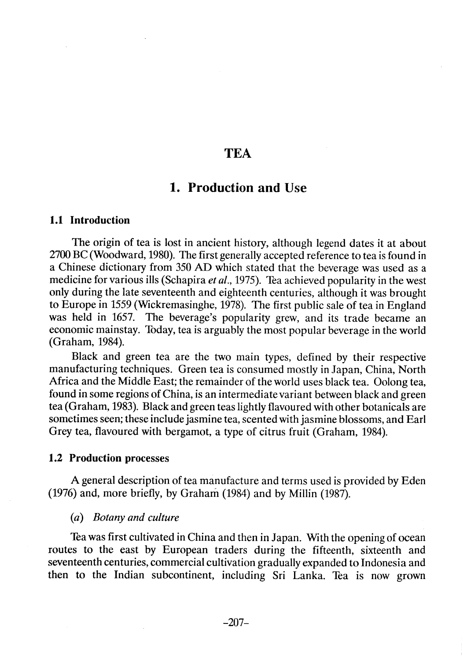# **TEA**

# 1. Production and Use

## 1.1 Introduction

The origin of tea is lost in ancient history, although legend dates it at about 2700 BC (Woodward, 1980). The first generally accepted reference to tea is found in a Chinese dictionary from 350 AD which stated that the beverage was used as a medicine for various ills (Schapira et al., 1975). Tea achieved popularity in the west only during the late seventeenth and eighteenth centuries, although it was brought to Europe in 1559 (Wickremasinghe, 1978). The first public sale of tea in England was held in 1657. The beverage's popularity grew, and its trade became an economic mainstay. Today, tea is arguably the most popular beverage in the world (Graham, 1984).

Black and green tea are the two main types, defined by their respective manufacturing techniques. Green tea is consumed mostly in Japan, China, North Africa and the Middle East; the remainder of the world uses black tea. Oolong tea, found in some regions of China, is an intermediate variant between black and green tea (Graham, 1983). Black and green teas lightly flavoured with other botanicals are sometimes seen; these include jasmine tea, scented with jasmine blossoms, and Earl Grey tea, flavoured with bergamot, a type of citrus fruit (Graham, 1984).

#### 1.2 Production processes

A general description of tea manufacture and terms used is provided by Eden  $(1976)$  and, more briefly, by Graham  $(1984)$  and by Millin  $(1987)$ .

#### (a) Botany and culture

Tea was first cultivated in China and then in Japan. With the opening of ocean routes to the east by European traders during the fifteenth, sixteenth and seventeenth centuries, commercial cultivation gradually expanded to Indonesia and then to the Indian subcontinent, including Sri Lanka. Tea is now grown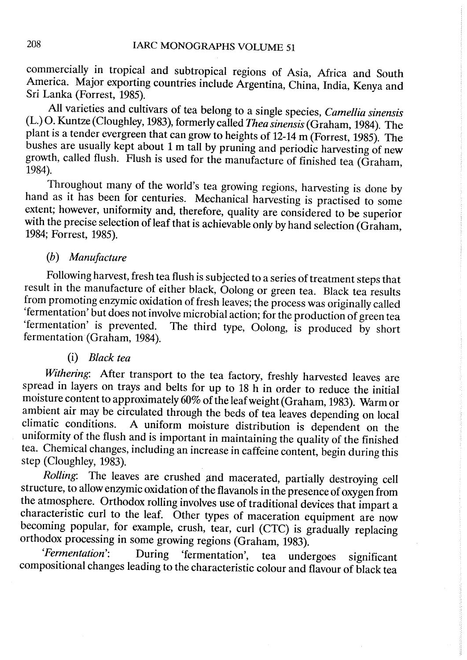commercially in tropical and subtropical regions of Asia, Africa and South America. Major exporting countries include Argentina, China, India, Kenya and Sri Lanka (Forrest, 1985).

All varieties and cultivars of tea belong to a single species, Camellia sinensis (L.) O. Kuntze (Cloughley, 1983), formerly called Thea sinensis (Graham, 1984). The plant is a tender evergreen that can grow to heights of 12-14 m (Forrest, 1985). The bushes are usually kept about 1 m tall by pruning and periodic harvesting of new growth, called flush. Flush is used for the manufacture of finished tea (Graham, 1984).

Throughout many of the world's tea growing regions, harvesting is done by hand as it has been for centuries. Mechanical harvesting is practised to some extent; however, uniformity and, therefore, quality are considered to be superior with the precise selection of leaf that is achievable only by hand selection (Graham, 1984; Forrest, 1985).

## (h) Manufacture

Following harvest, fresh tea flush is subjected to a series of treatment steps that result in the manufacture of either black, Oolong or green tea. Black tea results from promoting enzymic oxidation of fresh leaves; the process was originally called 'fermentation' but does not involve microbial action; for the production of green tea<br>'fermentation' is prevented. The third type. Oolong, is produced by short The third type, Oolong, is produced by short fermentation (Graham, 1984).

#### (i) Black tea

Withering: After transport to the tea factory, freshly harvested leaves are spread in layers on trays and belts for up to 18 h in order to reduce the initial moisture content to approximately 60% of the leaf weight (Graham, 1983). Warm or ambient air may be circulated through the beds of tea leaves depending on local climatic conditions. A uniform moisture distribution is dependent on the A uniform moisture distribution is dependent on the uniformity of the flush and is important in maintaining the quality of the finished tea. Chemical changes, including an increase in caffeine content, begin during this step (Cloughley, 1983).

Rolling: The leaves are crushed and macerated, partially destroying cell structure, to allow enzymic oxidation of the flavanols in the presence of oxygen from the atmosphere. Orthodox rollng involves use of traditional devices that impart a characteristic curl to the leaf. Other types of maceration equipment are now becoming popular, for example, crush, tear, curl (CTC) is gradually replacing orthodox processing in some growing regions (Graham, 1983).

'Fermentation': During 'fermentation', tea undergoes significant compositional changes leading to the characteristic colour and flavour of black tea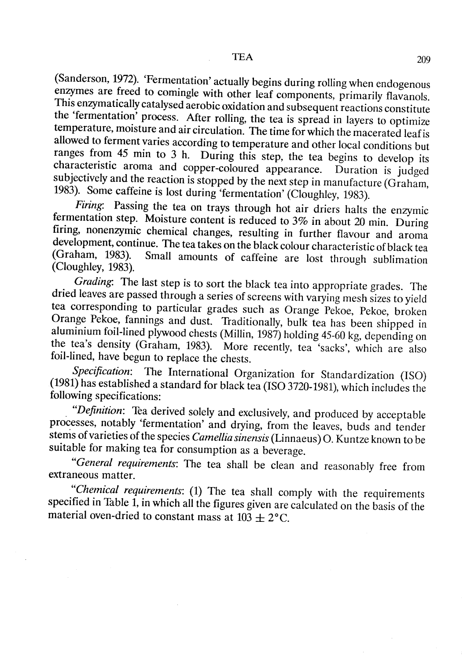(Sanderson, 1972). 'Fermentation' actually begins during rolling when endogenous enzymes are freed to comingle with other leaf components, primarily flavanols. This enzymatically catalysed aerobic oxidation and subsequent reactions constitute the 'fermentation' process. After rolling, the tea is spread in layers to optimize temperature, moisture and air circulation. The time for which the macerated leaf is allowed to ferment varies according to temperature and other local conditions but ranges from 45 min to 3 h. During this step, the tea begins to develop its characteristic aroma and copper-coloured appearance. Duration is judged subjectively and the reaction is stopped by the next step in manufacture (Graham, 1983). Some caffeine is lost during 'fermentation' (Cloughley, 1983).

Firing: Passing the tea on trays through hot air driers halts the enzymic fermentation step. Moisture content is reduced to 3% in about 20 min. During firing, nonenzymic chemical changes, resulting in further flavour and aroma development, continue. The tea takes on the black colour characteristic of black tea (Graham, 1983). Small amounts of caffeine are lost through sublimation (Cloughley, 1983).

Grading: The last step is to sort the black tea into appropriate grades. The dried leaves are passed through a series of screens with varying mesh sizes to yield tea corresponding to particular grades such as Orange Pekoe, Pekoe, broken Orange Pekoe, fannings and dust. Traditionally, bulk tea has been shipped in aluminium foil-lined plywood chests (Millin, 1987) holding 45-60 kg, depending on the tea's density (Graham, 1983). More recently, tea 'sacks', which are also foil-lined, have begun to replace the chests.

Specification: The International Organization for Standardization (ISO) (1981) has established a standard for black tea (ISO 3720- 1981), which includes the following specifications:

"Definition: Tea derived solely and exclusively, and produced by acceptable processes, notably 'fermentation' and drying, from the leaves, buds and tender stems of varieties of the species Camellia sinensis (Linnaeus) O. Kuntze known to be suitable for making tea for consumption as a beverage.

"General requirements: The tea shall be clean and reasonably free from extraneous matter.

"Chemical requirements: (1) The tea shall comply with the requirements specified in Table  $\overline{1}$ , in which all the figures given are calculated on the basis of the material oven-dried to constant mass at  $103 \pm 2$ °C.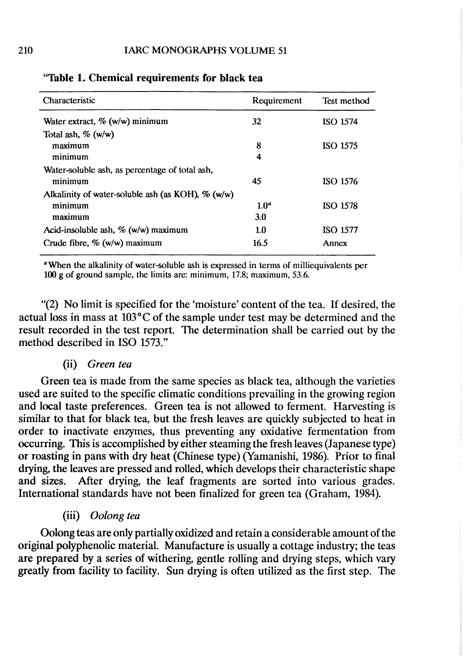| Characteristic                                       | Requirement      | Test method     |
|------------------------------------------------------|------------------|-----------------|
| Water extract, $\%$ (w/w) minimum                    | 32               | <b>ISO 1574</b> |
| Total ash, $\%$ (w/w)                                |                  |                 |
| maximum                                              | 8                | <b>ISO 1575</b> |
| minimum                                              | 4                |                 |
| Water-soluble ash, as percentage of total ash,       |                  |                 |
| minimum                                              | 45               | ISO 1576        |
| Alkalinity of water-soluble ash (as KOH), $\%$ (w/w) |                  |                 |
| minimum                                              | 1.0 <sup>a</sup> | <b>ISO 1578</b> |
| maximum                                              | 3.0              |                 |
| Acid-insoluble ash, $\%$ (w/w) maximum               | 1.0              | ISO 1577        |
| Crude fibre, $\%$ (w/w) maximum                      | 16.5             | Annex           |

"Table 1. Chemical requirements for black tea

<sup>a</sup>When the alkalinity of water-soluble ash is expressed in terms of milliequivalents per  $100 \text{ g}$  of ground sample, the limits are: minimum, 17.8; maximum, 53.6.

"(2) No limit is specified for the 'moisture' content of the tea. If desired, the actual loss in mass at  $103^{\circ}$ C of the sample under test may be determined and the result recorded in the test report. The determination shall be carried out by the method described in ISO 1573."

#### (ii) Green tea

Green tea is made from the same species as black tea, although the varieties used are suited to the specific climatic conditions prevailing in the growing region and local taste preferences. Green tea is not allowed to ferment. Harvesting is similar to that for black tea, but the fresh leaves are quickly subjected to heat in order to inactivate enzymes, thus preventing any oxidative fermentation from occurring. This is accomplished by either steaming the fresh leaves (Japanese type) or roasting in pans with dry heat (Chinese type) (Yamanishi, 1986). Prior to final drying, the leaves are pressed and rolIed, which develops their characteristic shape and sizes. Mter drying, the leaf fragments are sorted into various grades. International standards have not been finalized for green tea (Graham, 1984).

(iii) Oolong tea

Oolong teas are only partially oxidized and retain a considerable amount of the original polyphenolic material. Manufacture is usually a cottage industry; the teas are prepared by a series of withering, gentle rolling and drying steps, which vary greatly from facility to facility. Sun drying is often utilized as the first step. The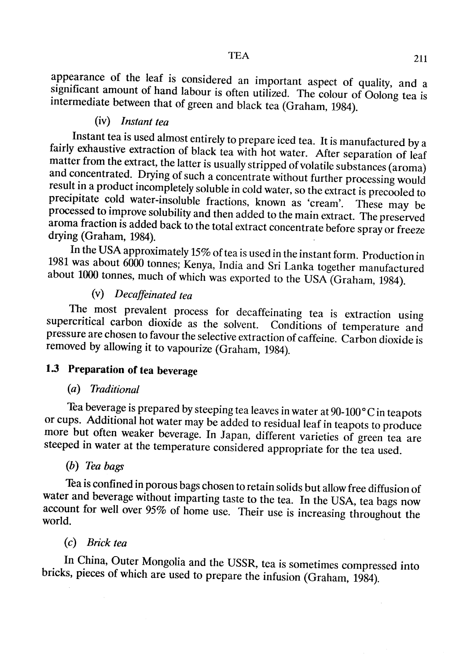appearance of the leaf is considered an important aspect of quality, and a significant amount of hand labour is often utilized. The colour of Oolong tea is intermediate between that of green and black tea (Graham, 1984).

## (iv) Instant tea

Instant tea is used almost entirely to prepare iced tea. It is manufactured by a fairly exhaustive extraction of black tea with hot water. After separation of leaf matter from the extract, the latter is usually stripped of volatile substances (aroma) and concentrated. Drying of such a concentrate without further processing would result in a product incompletely soluble in cold water, so the extract is precooled ta precipitate cold water-insoluble fractions, known as 'cream'. These may be processed to improve solubility and then added to the main extract. The preserved aroma fraction is added back to the total extract concentrate before spray or freeze drying (Graham, 1984).

In the USA approximately 15% of tea is used in the instant form. Production in 1981 was about 6000 tonnes; Kenya, India and Sri Lanka together manufactured about 1000 tonnes, much of which was exported to the USA (Graham, 1984).

## (v) Decaffeinated tea

The most prevalent process for decaffeinating tea is extraction using supercritical carbon dioxide as the solvent. Conditions of temperature and pressure are chosen to favour the selective extraction of caffeine. Carbon dioxide is removed by allowing it to vapourize (Graham, 1984).

# 1.3 Preparation of tea beverage

### (a) Traditional

Tea beverage is prepared by steeping tea leaves in water at  $90-100\degree$ C in teapots or cups. Additional hot water may be added to residual leaf in teapots to produce more but often weaker beverage. In Japan, different varieties of green tea are steeped in water at the temperature considered appropriate for the tea used.

## (b) Tea bags

Tea is confined in porous bags chosen to retain solids but allow free diffusion of water and beverage without imparting taste to the tea. In the USA, tea bags now account for well over 95% of home use. Their use is increasing throughout the world.

#### (c) Brick tea

ln China, Outer Mongolia and the USSR, tea is sometimes compressed into bricks, pieces of which are used to prepare the infusion (Graham, 1984).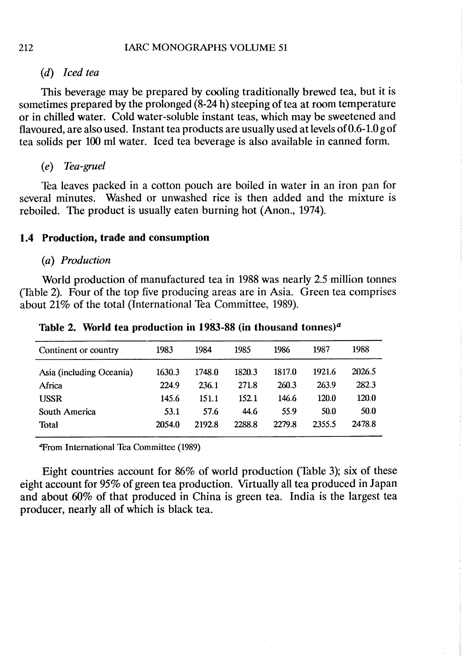## (d) lced tea

This beverage may be prepared by cooling traditionally brewed tea, but it is sometimes prepared by the prolonged (8-24 h) steeping of tea at room temperature or in chiled water. Cold water-soluble instant teas, which may be sweetened and flavoured, are also used. Instant tea products are usually used at levels of 0.6- 1.0 g of tea solids per 100 ml water. Iced tea beverage is also available in canned forme

 $(e)$  Tea-gruel

Tea leaves packed in a cotton pouch are boiled in water in an iron pan for several minutes. Washed or unwashed rice is then added and the mixture is reboiled. The product is usually eaten burning hot (Anon., 1974).

# 1.4 Production, trade and consumption

#### (a) Production

World production of manufactured tea in 1988 was nearly 2.5 milion tonnes (Table 2). Four of the top five producing areas are in Asia. Green tea comprises about 21% of the total (International Tea Committee, 1989).

| Continent or country     | 1983   | 1984   | 1985   | 1986   | 1987   | 1988   |
|--------------------------|--------|--------|--------|--------|--------|--------|
| Asia (including Oceania) | 1630.3 | 1748.0 | 1820.3 | 1817.0 | 1921.6 | 2026.5 |
| Africa                   | 224.9  | 236.1  | 271.8  | 260.3  | 263.9  | 282.3  |
| <b>USSR</b>              | 145.6  | 151.1  | 152.1  | 146.6  | 120.0  | 120.0  |
| South America            | 53.1   | 57.6   | 44.6   | 55.9   | 50.0   | 50.0   |
| <b>Total</b>             | 2054.0 | 2192.8 | 2288.8 | 2279.8 | 2355.5 | 2478.8 |
|                          |        |        |        |        |        |        |

Table 2. World tea production in 1983-88 (in thousand tonnes)<sup>a</sup>

**"From International Tea Committee (1989)** 

Eight countries account for 86% of world production (Table 3); six of these eight account for 95% of green tea production. Virtually all tea produced in Japan and about 60% of that produced in China is green tea. India is the largest tea producer, nearly all of which is black tea.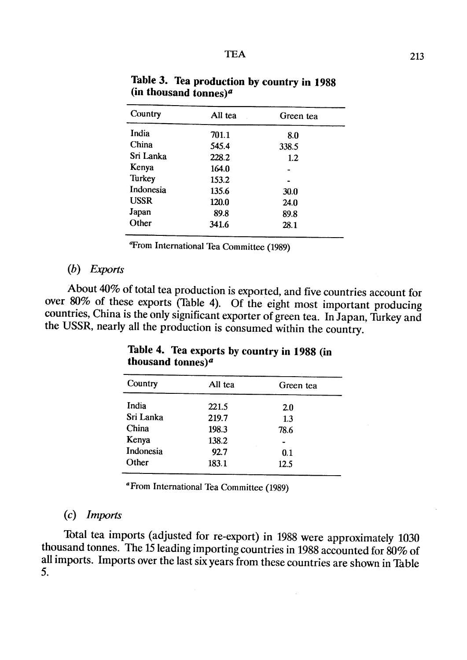| Country     | All tea | Green tea |  |
|-------------|---------|-----------|--|
| India       | 701.1   | 8.0       |  |
| China       | 545.4   | 338.5     |  |
| Sri Lanka   | 228.2   | 1.2       |  |
| Kenya       | 164.0   |           |  |
| Turkey      | 153.2   |           |  |
| Indonesia   | 135.6   | 30.0      |  |
| <b>USSR</b> | 120.0   | 24.0      |  |
| Japan       | 89.8    | 89.8      |  |
| Other       | 341.6   | 28.1      |  |
|             |         |           |  |

Table 3. Tea production by country in 1988 (in thousand tonnes) $a$ 

<sup>4</sup>From International Tea Committee (1989)

#### $(b)$  Exports

About 40% of total tea production is exported, and five countries account for over 80% of these exports (Table 4). Of the eight most important producing countries, China is the only significant exporter of green tea. In Japan, Turkey and the USSR, nearly all the production is consumed within the country.

| Country   | All tea | Green tea |
|-----------|---------|-----------|
| India     | 221.5   | 2.0       |
| Sri Lanka | 219.7   | 1.3       |
| China     | 198.3   | 78.6      |
| Kenya     | 138.2   |           |
| Indonesia | 92.7    | 0.1       |
| Other     | 183.1   | 12.5      |

## Table 4. Tea exports by country in 1988 (in thousand tonnes) $a$

a From International Tea Committee (1989)

#### (c) lmports

Total tea imports (adjusted for re-export) in 1988 were approximately 1030 thousand tonnes. The 15 leading importing countries in 1988 accounted for 80% of all imports. Imports over the last six years from these countries are shown in Table 5.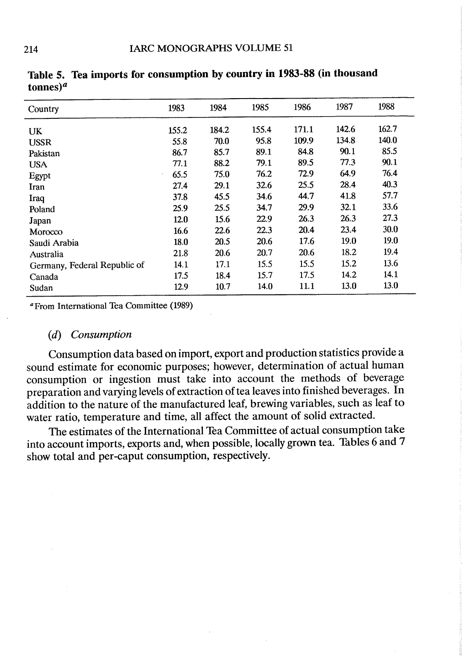| Country                      | 1983  | 1984  | 1985  | 1986  | 1987  | 1988  |
|------------------------------|-------|-------|-------|-------|-------|-------|
| UK                           | 155.2 | 184.2 | 155.4 | 171.1 | 142.6 | 162.7 |
| <b>USSR</b>                  | 55.8  | 70.0  | 95.8  | 109.9 | 134.8 | 140.0 |
| Pakistan                     | 86.7  | 85.7  | 89.1  | 84.8  | 90.1  | 85.5  |
| <b>USA</b>                   | 77.1  | 88.2  | 79.1  | 89.5  | 77.3  | 90.1  |
| Egypt                        | 65.5  | 75.0  | 76.2  | 72.9  | 64.9  | 76.4  |
| Iran                         | 27.4  | 29.1  | 32.6  | 25.5  | 28.4  | 40.3  |
| Iraq                         | 37.8  | 45.5  | 34.6  | 44.7  | 41.8  | 57.7  |
| Poland                       | 25.9  | 25.5  | 34.7  | 29.9  | 32.1  | 33.6  |
| Japan                        | 12.0  | 15.6  | 22.9  | 26.3  | 26.3  | 27.3  |
| Morocco                      | 16.6  | 22.6  | 22.3  | 20.4  | 23.4  | 30.0  |
| Saudi Arabia                 | 18.0  | 20.5  | 20.6  | 17.6  | 19.0  | 19.0  |
| Australia                    | 21.8  | 20.6  | 20.7  | 20.6  | 18.2  | 19.4  |
| Germany, Federal Republic of | 14.1  | 17.1  | 15.5  | 15.5  | 15.2  | 13.6  |
| Canada                       | 17.5  | 18.4  | 15.7  | 17.5  | 14.2  | 14.1  |
| Sudan                        | 12.9  | 10.7  | 14.0  | 11.1  | 13.0  | 13.0  |

Table 5. Tea imports for consumption by country in 1983-88 (in thousand tonnes) $a$ 

aFrom International Tea Committee (1989)

# (d) Consumption

Consumption data based on import, export and production statistics provide a sound estimate for economic purposes; however, determination of actual human consumption or ingestion must take into account the methods of beverage preparation and varying levels of extraction of tea leaves into finished beverages. In addition to the nature of the manufactured leaf, brewing variables, such as leaf to water ratio, temperature and time, all affect the amount of solid extracted.

The estimates of the International Tea Committee of actual consumption take into account imports, exports and, when possible, locally grown tea. Tables 6 and 7 show total and per-caput consumption, respectively.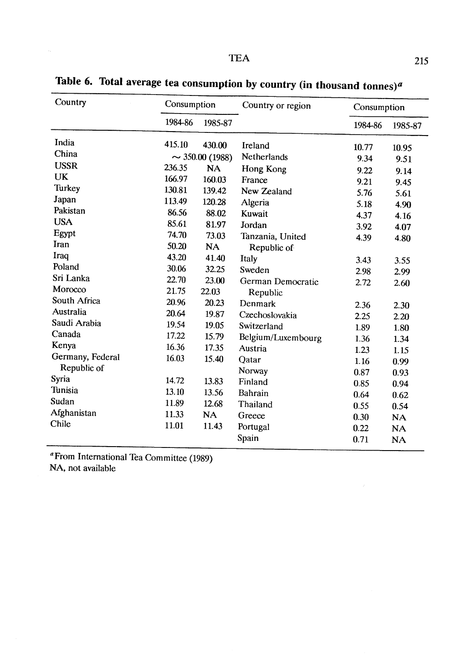| Country<br>Consumption |         | Country or region    |                    | Consumption |           |
|------------------------|---------|----------------------|--------------------|-------------|-----------|
|                        | 1984-86 | 1985-87              |                    | 1984-86     | 1985-87   |
| India                  | 415.10  | 430.00               | Ireland            | 10.77       | 10.95     |
| China                  |         | $\sim$ 350.00 (1988) | Netherlands        | 9.34        | 9.51      |
| <b>USSR</b>            | 236.35  | <b>NA</b>            | Hong Kong          | 9.22        | 9.14      |
| <b>UK</b>              | 166.97  | 160.03               | France             | 9.21        | 9.45      |
| Turkey                 | 130.81  | 139.42               | New Zealand        | 5.76        | 5.61      |
| Japan                  | 113.49  | 120.28               | Algeria            | 5.18        | 4.90      |
| Pakistan               | 86.56   | 88.02                | Kuwait             | 4.37        | 4.16      |
| <b>USA</b>             | 85.61   | 81.97                | Jordan             | 3.92        | 4.07      |
| Egypt                  | 74.70   | 73.03                | Tanzania, United   | 4.39        | 4.80      |
| Iran                   | 50.20   | <b>NA</b>            | Republic of        |             |           |
| Iraq                   | 43.20   | 41.40                | Italy              | 3.43        | 3.55      |
| Poland                 | 30.06   | 32.25                | Sweden             | 2.98        | 2.99      |
| Sri Lanka              | 22.70   | 23.00                | German Democratic  | 2.72        | 2.60      |
| Morocco                | 21.75   | 22.03                | Republic           |             |           |
| South Africa           | 20.96   | 20.23                | Denmark            | 2.36        | 2.30      |
| Australia              | 20.64   | 19.87                | Czechoslovakia     | 2.25        | 2.20      |
| Saudi Arabia           | 19.54   | 19.05                | Switzerland        | 1.89        | 1.80      |
| Canada                 | 17.22   | 15.79                | Belgium/Luxembourg | 1.36        | 1.34      |
| Kenya                  | 16.36   | 17.35                | Austria            | 1.23        | 1.15      |
| Germany, Federal       | 16.03   | 15.40                | Qatar              | 1.16        | 0.99      |
| Republic of            |         |                      | Norway             | 0.87        | 0.93      |
| Syria                  | 14.72   | 13.83                | Finland            | 0.85        | 0.94      |
| Tunisia                | 13.10   | 13.56                | Bahrain            | 0.64        | 0.62      |
| Sudan                  | 11.89   | 12.68                | Thailand           | 0.55        | 0.54      |
| Afghanistan            | 11.33   | <b>NA</b>            | Greece             | 0.30        | <b>NA</b> |
| Chile                  | 11.01   | 11.43                | Portugal           | 0.22        | <b>NA</b> |
|                        |         |                      | Spain              | 0.71        | <b>NA</b> |

Table 6. Total average tea consumption by country (in thousand tonnes)<sup>a</sup>

aFrom International Tea Committee (1989) NA, not available

 $\mathcal{A}^{\mathcal{A}}$